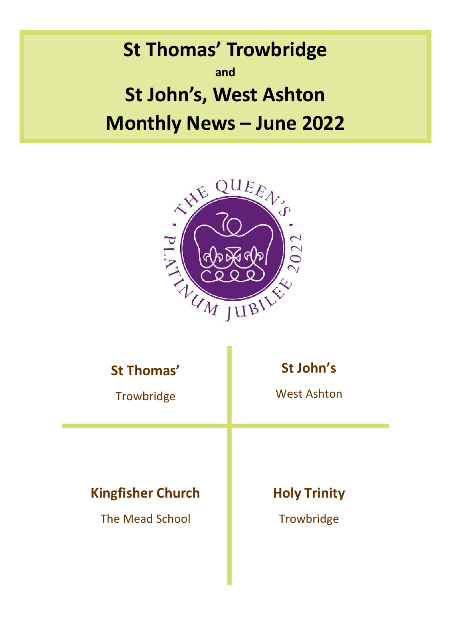**St Thomas' Trowbridge and St John's, West Ashton Monthly News – June 2022**



| <b>St Thomas'</b>        | St John's           |
|--------------------------|---------------------|
| Trowbridge               | <b>West Ashton</b>  |
| <b>Kingfisher Church</b> | <b>Holy Trinity</b> |
| <b>The Mead School</b>   | Trowbridge          |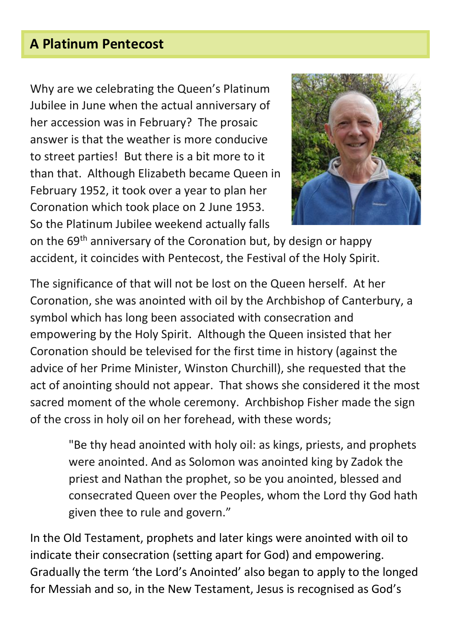# **A Platinum Pentecost**

Why are we celebrating the Queen's Platinum Jubilee in June when the actual anniversary of her accession was in February? The prosaic answer is that the weather is more conducive to street parties! But there is a bit more to it than that. Although Elizabeth became Queen in February 1952, it took over a year to plan her Coronation which took place on 2 June 1953. So the Platinum Jubilee weekend actually falls



on the 69<sup>th</sup> anniversary of the Coronation but, by design or happy accident, it coincides with Pentecost, the Festival of the Holy Spirit.

The significance of that will not be lost on the Queen herself. At her Coronation, she was anointed with oil by the Archbishop of Canterbury, a symbol which has long been associated with consecration and empowering by the Holy Spirit. Although the Queen insisted that her Coronation should be televised for the first time in history (against the advice of her Prime Minister, Winston Churchill), she requested that the act of anointing should not appear. That shows she considered it the most sacred moment of the whole ceremony. Archbishop Fisher made the sign of the cross in holy oil on her forehead, with these words;

"Be thy head anointed with holy oil: as kings, priests, and prophets were anointed. And as Solomon was anointed king by Zadok the priest and Nathan the prophet, so be you anointed, blessed and consecrated Queen over the Peoples, whom the Lord thy God hath given thee to rule and govern."

In the Old Testament, prophets and later kings were anointed with oil to indicate their consecration (setting apart for God) and empowering. Gradually the term 'the Lord's Anointed' also began to apply to the longed for Messiah and so, in the New Testament, Jesus is recognised as God's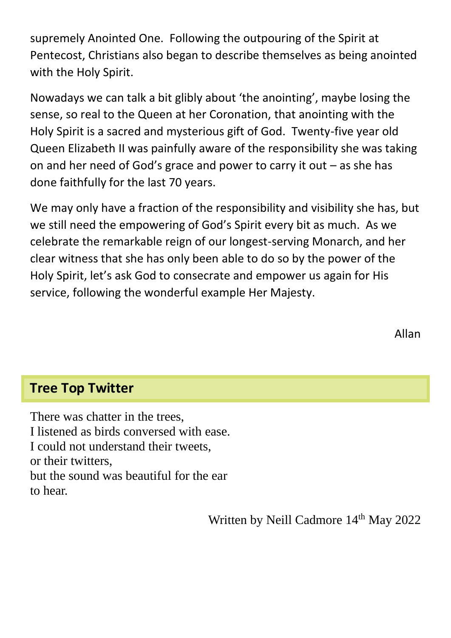supremely Anointed One. Following the outpouring of the Spirit at Pentecost, Christians also began to describe themselves as being anointed with the Holy Spirit.

Nowadays we can talk a bit glibly about 'the anointing', maybe losing the sense, so real to the Queen at her Coronation, that anointing with the Holy Spirit is a sacred and mysterious gift of God. Twenty-five year old Queen Elizabeth II was painfully aware of the responsibility she was taking on and her need of God's grace and power to carry it out – as she has done faithfully for the last 70 years.

We may only have a fraction of the responsibility and visibility she has, but we still need the empowering of God's Spirit every bit as much. As we celebrate the remarkable reign of our longest-serving Monarch, and her clear witness that she has only been able to do so by the power of the Holy Spirit, let's ask God to consecrate and empower us again for His service, following the wonderful example Her Majesty.

# **Tree Top Twitter**

There was chatter in the trees, I listened as birds conversed with ease. I could not understand their tweets, or their twitters, but the sound was beautiful for the ear to hear.

Written by Neill Cadmore 14<sup>th</sup> May 2022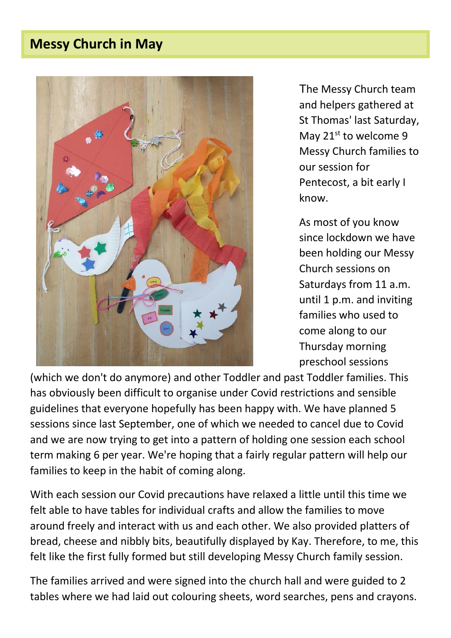# **Messy Church in May**



The Messy Church team and helpers gathered at St Thomas' last Saturday, May 21st to welcome 9 Messy Church families to our session for Pentecost, a bit early I know.

As most of you know since lockdown we have been holding our Messy Church sessions on Saturdays from 11 a.m. until 1 p.m. and inviting families who used to come along to our Thursday morning preschool sessions

(which we don't do anymore) and other Toddler and past Toddler families. This has obviously been difficult to organise under Covid restrictions and sensible guidelines that everyone hopefully has been happy with. We have planned 5 sessions since last September, one of which we needed to cancel due to Covid and we are now trying to get into a pattern of holding one session each school term making 6 per year. We're hoping that a fairly regular pattern will help our families to keep in the habit of coming along.

With each session our Covid precautions have relaxed a little until this time we felt able to have tables for individual crafts and allow the families to move around freely and interact with us and each other. We also provided platters of bread, cheese and nibbly bits, beautifully displayed by Kay. Therefore, to me, this felt like the first fully formed but still developing Messy Church family session.

The families arrived and were signed into the church hall and were guided to 2 tables where we had laid out colouring sheets, word searches, pens and crayons.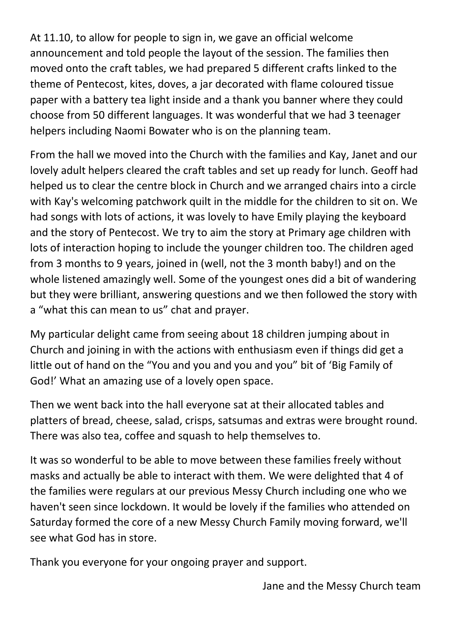At 11.10, to allow for people to sign in, we gave an official welcome announcement and told people the layout of the session. The families then moved onto the craft tables, we had prepared 5 different crafts linked to the theme of Pentecost, kites, doves, a jar decorated with flame coloured tissue paper with a battery tea light inside and a thank you banner where they could choose from 50 different languages. It was wonderful that we had 3 teenager helpers including Naomi Bowater who is on the planning team.

From the hall we moved into the Church with the families and Kay, Janet and our lovely adult helpers cleared the craft tables and set up ready for lunch. Geoff had helped us to clear the centre block in Church and we arranged chairs into a circle with Kay's welcoming patchwork quilt in the middle for the children to sit on. We had songs with lots of actions, it was lovely to have Emily playing the keyboard and the story of Pentecost. We try to aim the story at Primary age children with lots of interaction hoping to include the younger children too. The children aged from 3 months to 9 years, joined in (well, not the 3 month baby!) and on the whole listened amazingly well. Some of the youngest ones did a bit of wandering but they were brilliant, answering questions and we then followed the story with a "what this can mean to us" chat and prayer.

My particular delight came from seeing about 18 children jumping about in Church and joining in with the actions with enthusiasm even if things did get a little out of hand on the "You and you and you and you" bit of 'Big Family of God!' What an amazing use of a lovely open space.

Then we went back into the hall everyone sat at their allocated tables and platters of bread, cheese, salad, crisps, satsumas and extras were brought round. There was also tea, coffee and squash to help themselves to.

It was so wonderful to be able to move between these families freely without masks and actually be able to interact with them. We were delighted that 4 of the families were regulars at our previous Messy Church including one who we haven't seen since lockdown. It would be lovely if the families who attended on Saturday formed the core of a new Messy Church Family moving forward, we'll see what God has in store.

Thank you everyone for your ongoing prayer and support.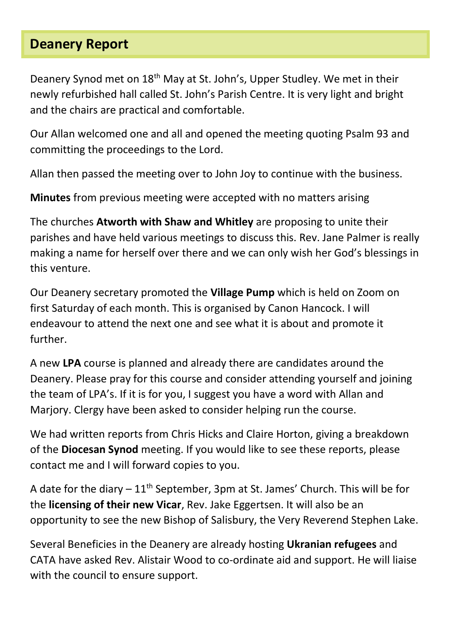### **Deanery Report**

Deanery Synod met on 18<sup>th</sup> May at St. John's, Upper Studley. We met in their newly refurbished hall called St. John's Parish Centre. It is very light and bright and the chairs are practical and comfortable.

Our Allan welcomed one and all and opened the meeting quoting Psalm 93 and committing the proceedings to the Lord.

Allan then passed the meeting over to John Joy to continue with the business.

**Minutes** from previous meeting were accepted with no matters arising

The churches **Atworth with Shaw and Whitley** are proposing to unite their parishes and have held various meetings to discuss this. Rev. Jane Palmer is really making a name for herself over there and we can only wish her God's blessings in this venture.

Our Deanery secretary promoted the **Village Pump** which is held on Zoom on first Saturday of each month. This is organised by Canon Hancock. I will endeavour to attend the next one and see what it is about and promote it further.

A new **LPA** course is planned and already there are candidates around the Deanery. Please pray for this course and consider attending yourself and joining the team of LPA's. If it is for you, I suggest you have a word with Allan and Marjory. Clergy have been asked to consider helping run the course.

We had written reports from Chris Hicks and Claire Horton, giving a breakdown of the **Diocesan Synod** meeting. If you would like to see these reports, please contact me and I will forward copies to you.

A date for the diary  $-11<sup>th</sup>$  September, 3pm at St. James' Church. This will be for the **licensing of their new Vicar**, Rev. Jake Eggertsen. It will also be an opportunity to see the new Bishop of Salisbury, the Very Reverend Stephen Lake.

Several Beneficies in the Deanery are already hosting **Ukranian refugees** and CATA have asked Rev. Alistair Wood to co-ordinate aid and support. He will liaise with the council to ensure support.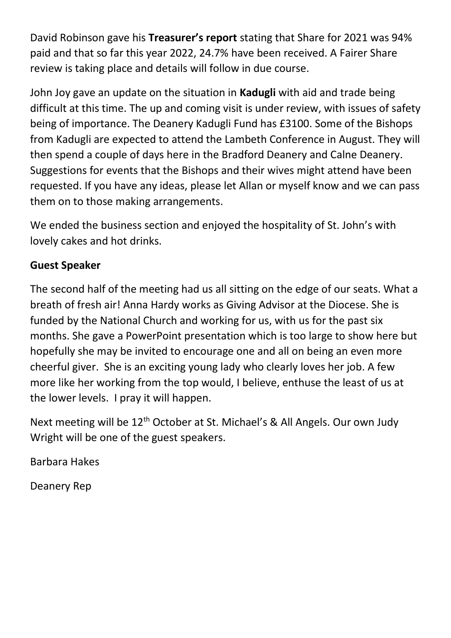David Robinson gave his **Treasurer's report** stating that Share for 2021 was 94% paid and that so far this year 2022, 24.7% have been received. A Fairer Share review is taking place and details will follow in due course.

John Joy gave an update on the situation in **Kadugli** with aid and trade being difficult at this time. The up and coming visit is under review, with issues of safety being of importance. The Deanery Kadugli Fund has £3100. Some of the Bishops from Kadugli are expected to attend the Lambeth Conference in August. They will then spend a couple of days here in the Bradford Deanery and Calne Deanery. Suggestions for events that the Bishops and their wives might attend have been requested. If you have any ideas, please let Allan or myself know and we can pass them on to those making arrangements.

We ended the business section and enjoyed the hospitality of St. John's with lovely cakes and hot drinks.

#### **Guest Speaker**

The second half of the meeting had us all sitting on the edge of our seats. What a breath of fresh air! Anna Hardy works as Giving Advisor at the Diocese. She is funded by the National Church and working for us, with us for the past six months. She gave a PowerPoint presentation which is too large to show here but hopefully she may be invited to encourage one and all on being an even more cheerful giver. She is an exciting young lady who clearly loves her job. A few more like her working from the top would, I believe, enthuse the least of us at the lower levels. I pray it will happen.

Next meeting will be 12<sup>th</sup> October at St. Michael's & All Angels. Our own Judy Wright will be one of the guest speakers.

Barbara Hakes

Deanery Rep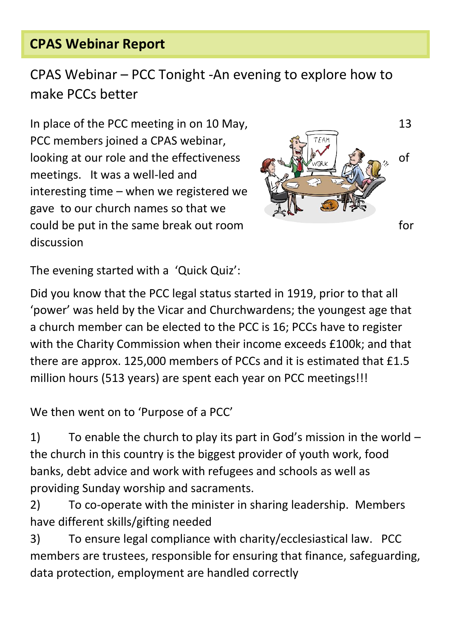# **CPAS Webinar Report**

CPAS Webinar – PCC Tonight -An evening to explore how to make PCCs better

In place of the PCC meeting in on 10 May, 13 PCC members joined a CPAS webinar, looking at our role and the effectiveness  $\left( \mathbb{R} \setminus \mathbb{R}^N \right)$ meetings. It was a well-led and interesting time – when we registered we gave to our church names so that we could be put in the same break out room discussion



The evening started with a 'Quick Quiz':

Did you know that the PCC legal status started in 1919, prior to that all 'power' was held by the Vicar and Churchwardens; the youngest age that a church member can be elected to the PCC is 16; PCCs have to register with the Charity Commission when their income exceeds £100k; and that there are approx. 125,000 members of PCCs and it is estimated that £1.5 million hours (513 years) are spent each year on PCC meetings!!!

We then went on to 'Purpose of a PCC'

1) To enable the church to play its part in God's mission in the world – the church in this country is the biggest provider of youth work, food banks, debt advice and work with refugees and schools as well as providing Sunday worship and sacraments.

2) To co-operate with the minister in sharing leadership. Members have different skills/gifting needed

3) To ensure legal compliance with charity/ecclesiastical law. PCC members are trustees, responsible for ensuring that finance, safeguarding, data protection, employment are handled correctly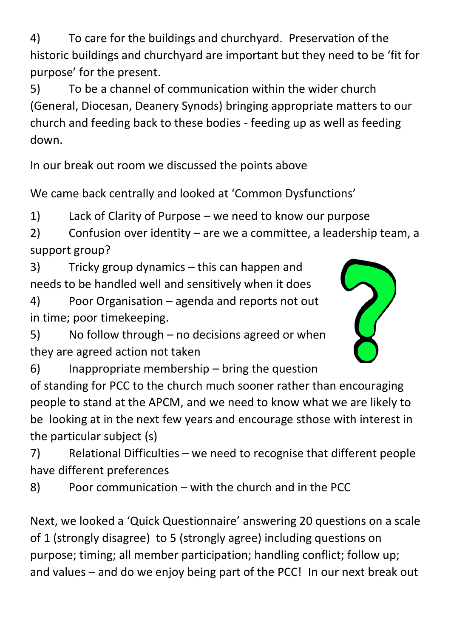4) To care for the buildings and churchyard. Preservation of the historic buildings and churchyard are important but they need to be 'fit for purpose' for the present.

5) To be a channel of communication within the wider church (General, Diocesan, Deanery Synods) bringing appropriate matters to our church and feeding back to these bodies - feeding up as well as feeding down.

In our break out room we discussed the points above

We came back centrally and looked at 'Common Dysfunctions'

1) Lack of Clarity of Purpose – we need to know our purpose

2) Confusion over identity – are we a committee, a leadership team, a support group?

3) Tricky group dynamics – this can happen and needs to be handled well and sensitively when it does

4) Poor Organisation – agenda and reports not out in time; poor timekeeping.

5) No follow through – no decisions agreed or when they are agreed action not taken



6) Inappropriate membership – bring the question

of standing for PCC to the church much sooner rather than encouraging people to stand at the APCM, and we need to know what we are likely to be looking at in the next few years and encourage sthose with interest in the particular subject (s)

7) Relational Difficulties – we need to recognise that different people have different preferences

8) Poor communication – with the church and in the PCC

Next, we looked a 'Quick Questionnaire' answering 20 questions on a scale of 1 (strongly disagree) to 5 (strongly agree) including questions on purpose; timing; all member participation; handling conflict; follow up; and values – and do we enjoy being part of the PCC! In our next break out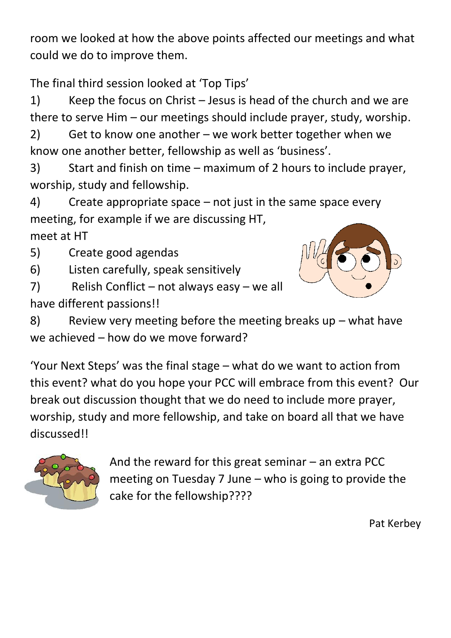room we looked at how the above points affected our meetings and what could we do to improve them.

The final third session looked at 'Top Tips'

1) Keep the focus on Christ – Jesus is head of the church and we are there to serve Him – our meetings should include prayer, study, worship.

2) Get to know one another – we work better together when we know one another better, fellowship as well as 'business'.

3) Start and finish on time – maximum of 2 hours to include prayer, worship, study and fellowship.

4) Create appropriate space – not just in the same space every meeting, for example if we are discussing HT, meet at HT

5) Create good agendas

6) Listen carefully, speak sensitively

7) Relish Conflict – not always easy – we all have different passions!!



8) Review very meeting before the meeting breaks up – what have we achieved – how do we move forward?

'Your Next Steps' was the final stage – what do we want to action from this event? what do you hope your PCC will embrace from this event? Our break out discussion thought that we do need to include more prayer, worship, study and more fellowship, and take on board all that we have discussed!!



And the reward for this great seminar – an extra PCC meeting on Tuesday 7 June – who is going to provide the cake for the fellowship????

Pat Kerbey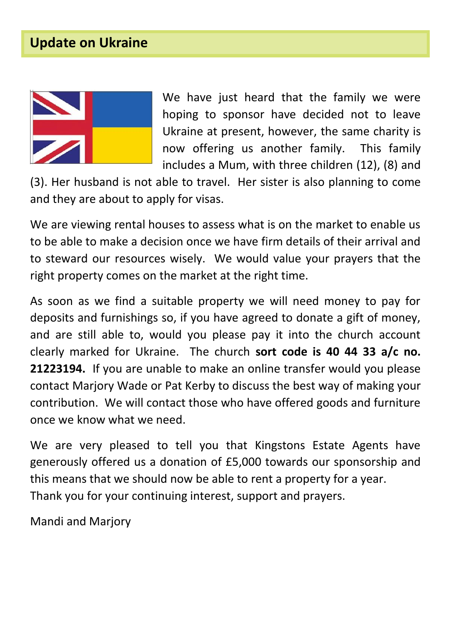## **Update on Ukraine**



We have just heard that the family we were hoping to sponsor have decided not to leave Ukraine at present, however, the same charity is now offering us another family. This family includes a Mum, with three children (12), (8) and

(3). Her husband is not able to travel. Her sister is also planning to come and they are about to apply for visas.

We are viewing rental houses to assess what is on the market to enable us to be able to make a decision once we have firm details of their arrival and to steward our resources wisely. We would value your prayers that the right property comes on the market at the right time.

As soon as we find a suitable property we will need money to pay for deposits and furnishings so, if you have agreed to donate a gift of money, and are still able to, would you please pay it into the church account clearly marked for Ukraine. The church **sort code is 40 44 33 a/c no. 21223194.** If you are unable to make an online transfer would you please contact Marjory Wade or Pat Kerby to discuss the best way of making your contribution. We will contact those who have offered goods and furniture once we know what we need.

We are very pleased to tell you that Kingstons Estate Agents have generously offered us a donation of £5,000 towards our sponsorship and this means that we should now be able to rent a property for a year. Thank you for your continuing interest, support and prayers.

Mandi and Marjory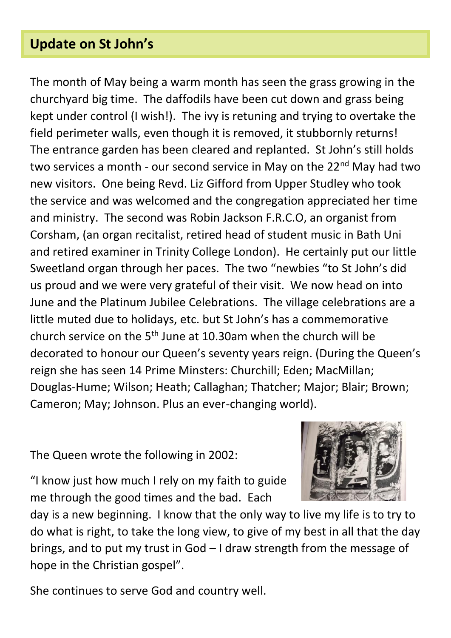### **Update on St John's**

The month of May being a warm month has seen the grass growing in the churchyard big time. The daffodils have been cut down and grass being kept under control (I wish!). The ivy is retuning and trying to overtake the field perimeter walls, even though it is removed, it stubbornly returns! The entrance garden has been cleared and replanted. St John's still holds two services a month - our second service in May on the 22<sup>nd</sup> May had two new visitors. One being Revd. Liz Gifford from Upper Studley who took the service and was welcomed and the congregation appreciated her time and ministry. The second was Robin Jackson F.R.C.O, an organist from Corsham, (an organ recitalist, retired head of student music in Bath Uni and retired examiner in Trinity College London). He certainly put our little Sweetland organ through her paces. The two "newbies "to St John's did us proud and we were very grateful of their visit. We now head on into June and the Platinum Jubilee Celebrations. The village celebrations are a little muted due to holidays, etc. but St John's has a commemorative church service on the  $5<sup>th</sup>$  June at 10.30am when the church will be decorated to honour our Queen's seventy years reign. (During the Queen's reign she has seen 14 Prime Minsters: Churchill; Eden; MacMillan; Douglas-Hume; Wilson; Heath; Callaghan; Thatcher; Major; Blair; Brown; Cameron; May; Johnson. Plus an ever-changing world).

The Queen wrote the following in 2002:

"I know just how much I rely on my faith to guide me through the good times and the bad. Each



day is a new beginning. I know that the only way to live my life is to try to do what is right, to take the long view, to give of my best in all that the day brings, and to put my trust in God – I draw strength from the message of hope in the Christian gospel".

She continues to serve God and country well.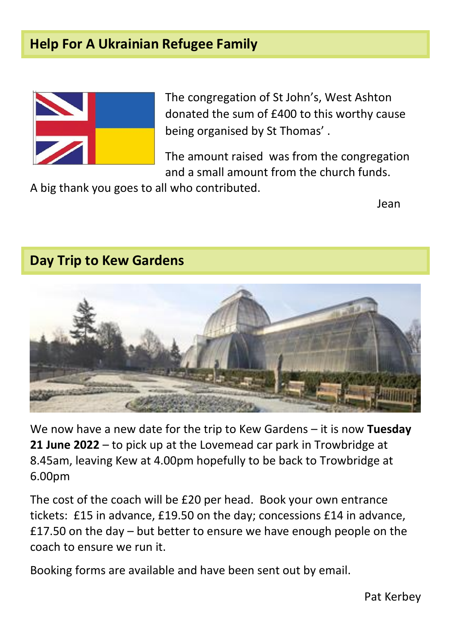### **Help For A Ukrainian Refugee Family**



The congregation of St John's, West Ashton donated the sum of £400 to this worthy cause being organised by St Thomas' .

The amount raised was from the congregation and a small amount from the church funds.

A big thank you goes to all who contributed.

Jean

#### **Day Trip to Kew Gardens**



We now have a new date for the trip to Kew Gardens – it is now **Tuesday 21 June 2022** – to pick up at the Lovemead car park in Trowbridge at 8.45am, leaving Kew at 4.00pm hopefully to be back to Trowbridge at 6.00pm

The cost of the coach will be £20 per head. Book your own entrance tickets: £15 in advance, £19.50 on the day; concessions £14 in advance, £17.50 on the day – but better to ensure we have enough people on the coach to ensure we run it.

Booking forms are available and have been sent out by email.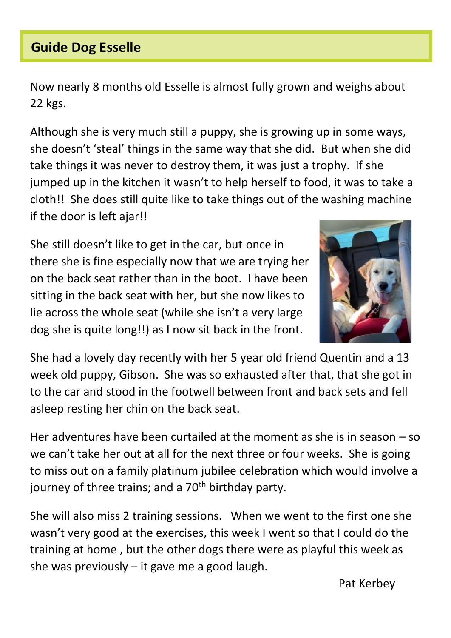# **Guide Dog Esselle**

Now nearly 8 months old Esselle is almost fully grown and weighs about 22 kgs.

Although she is very much still a puppy, she is growing up in some ways, she doesn't 'steal' things in the same way that she did. But when she did take things it was never to destroy them, it was just a trophy. If she jumped up in the kitchen it wasn't to help herself to food, it was to take a cloth!! She does still quite like to take things out of the washing machine if the door is left ajar!!

She still doesn't like to get in the car, but once in there she is fine especially now that we are trying her on the back seat rather than in the boot. I have been sitting in the back seat with her, but she now likes to lie across the whole seat (while she isn't a very large dog she is quite long!!) as I now sit back in the front.



She had a lovely day recently with her 5 year old friend Quentin and a 13 week old puppy, Gibson. She was so exhausted after that, that she got in to the car and stood in the footwell between front and back sets and fell asleep resting her chin on the back seat.

Her adventures have been curtailed at the moment as she is in season – so we can't take her out at all for the next three or four weeks. She is going to miss out on a family platinum jubilee celebration which would involve a journey of three trains; and a  $70<sup>th</sup>$  birthday party.

She will also miss 2 training sessions. When we went to the first one she wasn't very good at the exercises, this week I went so that I could do the training at home , but the other dogs there were as playful this week as she was previously  $-$  it gave me a good laugh.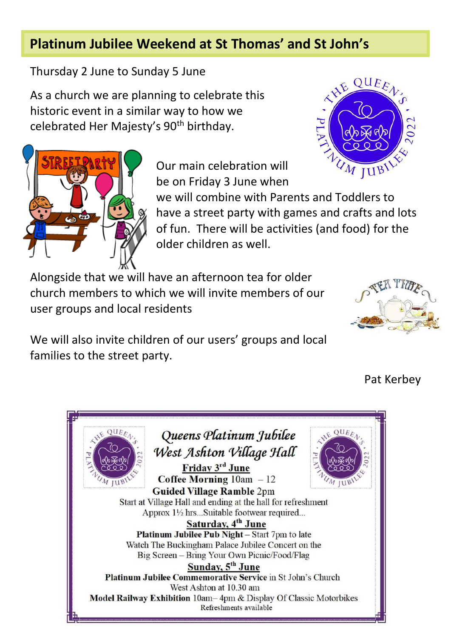# **Platinum Jubilee Weekend at St Thomas' and St John's**

Thursday 2 June to Sunday 5 June

As a church we are planning to celebrate this historic event in a similar way to how we celebrated Her Majesty's 90<sup>th</sup> birthday.





Our main celebration will be on Friday 3 June when

we will combine with Parents and Toddlers to have a street party with games and crafts and lots of fun. There will be activities (and food) for the older children as well.

Alongside that we will have an afternoon tea for older church members to which we will invite members of our user groups and local residents



We will also invite children of our users' groups and local families to the street party.

Pat Kerbey